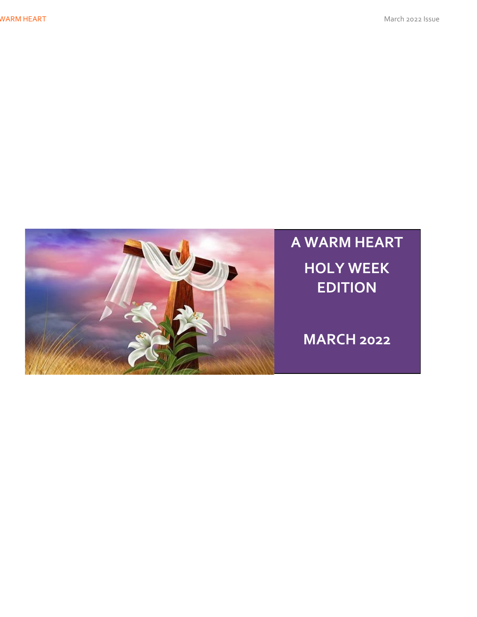WARM HEART March 2022 Issue



**A WARM HEART HOLY WEEK EDITION**

**MARCH 2022**